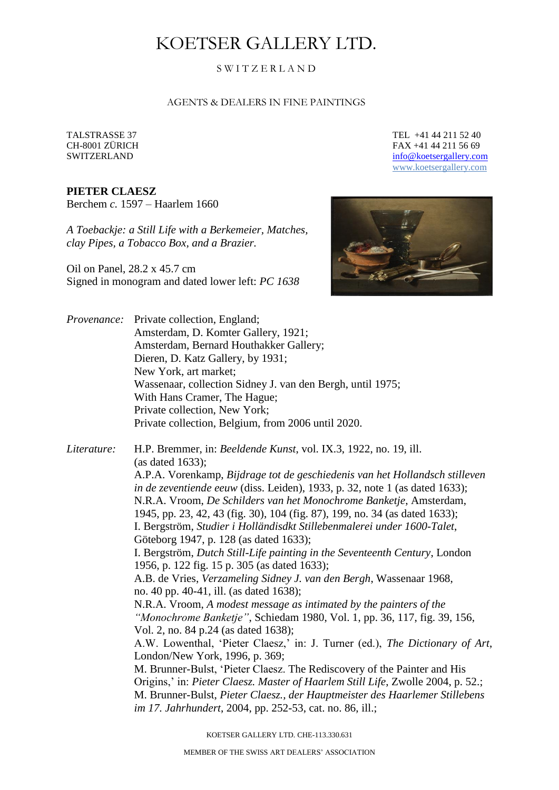# KOETSER GALLERY LTD.

## S W I T Z E R L A N D

#### AGENTS & DEALERS IN FINE PAINTINGS

### **PIETER CLAESZ**

Berchem *c.* 1597 – Haarlem 1660

*A Toebackje: a Still Life with a Berkemeier, Matches, clay Pipes, a Tobacco Box, and a Brazier.*

Oil on Panel, 28.2 x 45.7 cm Signed in monogram and dated lower left: *PC 1638*

TALSTRASSE 37 TEL +41 44 211 52 40 CH-8001 ZÜRICH FAX +41 44 211 56 69 SWITZERLAND [info@koetsergallery.com](mailto:info@koetsergallery.com) [www.koetsergallery.com](http://www.koetsergallery.com/)



*Provenance:* Private collection, England; Amsterdam, D. Komter Gallery, 1921; Amsterdam, Bernard Houthakker Gallery; Dieren, D. Katz Gallery, by 1931; New York, art market; Wassenaar, collection Sidney J. van den Bergh, until 1975; With Hans Cramer, The Hague; Private collection, New York; Private collection, Belgium, from 2006 until 2020.

*Literature:* H.P. Bremmer, in: *Beeldende Kunst*, vol. IX.3, 1922, no. 19, ill. (as dated 1633); A.P.A. Vorenkamp, *Bijdrage tot de geschiedenis van het Hollandsch stilleven in de zeventiende eeuw* (diss. Leiden), 1933, p. 32, note 1 (as dated 1633); N.R.A. Vroom, *De Schilders van het Monochrome Banketje*, Amsterdam, 1945, pp. 23, 42, 43 (fig. 30), 104 (fig. 87), 199, no. 34 (as dated 1633); I. Bergström, *Studier i Holländisdkt Stillebenmalerei under 1600-Talet*, Göteborg 1947, p. 128 (as dated 1633); I. Bergström, *Dutch Still-Life painting in the Seventeenth Century*, London 1956, p. 122 fig. 15 p. 305 (as dated 1633); A.B. de Vries, *Verzameling Sidney J. van den Bergh*, Wassenaar 1968, no. 40 pp. 40-41, ill. (as dated 1638); N.R.A. Vroom, *A modest message as intimated by the painters of the "Monochrome Banketje"*, Schiedam 1980, Vol. 1, pp. 36, 117, fig. 39, 156, Vol. 2, no. 84 p.24 (as dated 1638); A.W. Lowenthal, 'Pieter Claesz,' in: J. Turner (ed.), *The Dictionary of Art*, London/New York, 1996, p. 369; M. Brunner-Bulst, 'Pieter Claesz. The Rediscovery of the Painter and His Origins,' in: *Pieter Claesz. Master of Haarlem Still Life*, Zwolle 2004, p. 52.; M. Brunner-Bulst, *Pieter Claesz., der Hauptmeister des Haarlemer Stillebens im 17. Jahrhundert*, 2004, pp. 252-53, cat. no. 86, ill.;

KOETSER GALLERY LTD. CHE-113.330.631